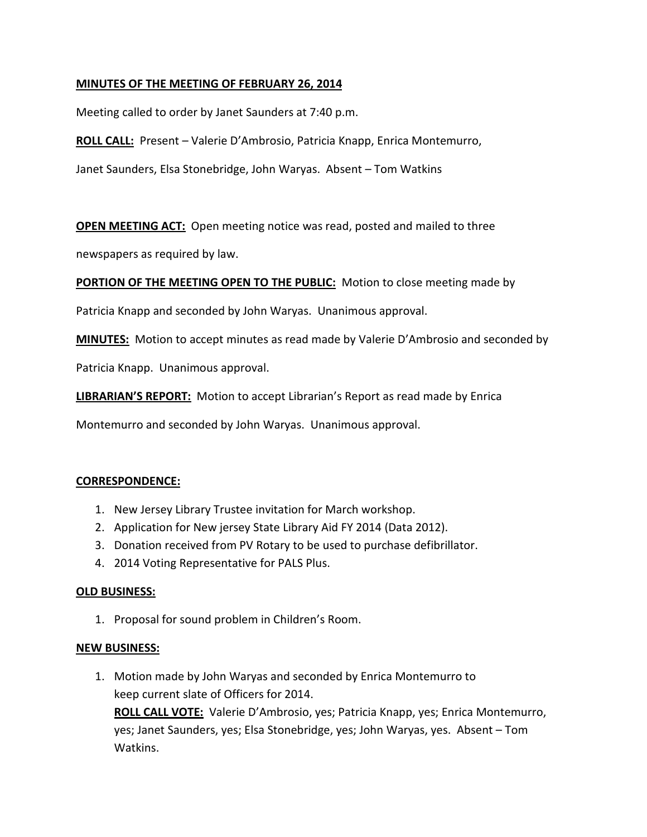### **MINUTES OF THE MEETING OF FEBRUARY 26, 2014**

Meeting called to order by Janet Saunders at 7:40 p.m.

**ROLL CALL:** Present – Valerie D'Ambrosio, Patricia Knapp, Enrica Montemurro,

Janet Saunders, Elsa Stonebridge, John Waryas. Absent – Tom Watkins

**OPEN MEETING ACT:** Open meeting notice was read, posted and mailed to three

newspapers as required by law.

**PORTION OF THE MEETING OPEN TO THE PUBLIC:** Motion to close meeting made by

Patricia Knapp and seconded by John Waryas. Unanimous approval.

**MINUTES:** Motion to accept minutes as read made by Valerie D'Ambrosio and seconded by

Patricia Knapp. Unanimous approval.

**LIBRARIAN'S REPORT:** Motion to accept Librarian's Report as read made by Enrica

Montemurro and seconded by John Waryas. Unanimous approval.

#### **CORRESPONDENCE:**

- 1. New Jersey Library Trustee invitation for March workshop.
- 2. Application for New jersey State Library Aid FY 2014 (Data 2012).
- 3. Donation received from PV Rotary to be used to purchase defibrillator.
- 4. 2014 Voting Representative for PALS Plus.

#### **OLD BUSINESS:**

1. Proposal for sound problem in Children's Room.

#### **NEW BUSINESS:**

1. Motion made by John Waryas and seconded by Enrica Montemurro to keep current slate of Officers for 2014.

**ROLL CALL VOTE:** Valerie D'Ambrosio, yes; Patricia Knapp, yes; Enrica Montemurro, yes; Janet Saunders, yes; Elsa Stonebridge, yes; John Waryas, yes. Absent – Tom Watkins.